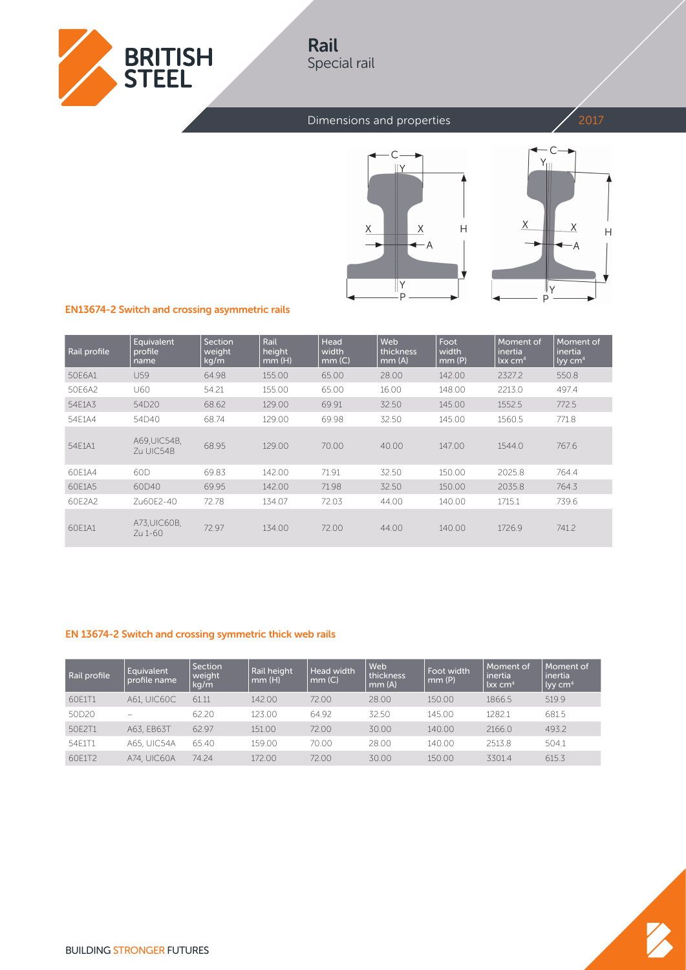

# Rail Special rail

### Dimensions and properties 2017





### EN13674-2 Switch and crossing asymmetric rails

| Rail profile | Equivalent<br>profile<br>name | Section<br>weight<br>kg/m | Rail<br>height<br>mm(H) | Head<br>width<br>mm(C) | Web<br>thickness<br>mm(A) | Foot<br>width<br>mm(P) | Moment of<br>inertia<br>$lxx$ cm <sup>4</sup> | Moment of<br>inertia<br>$\frac{1}{2}$ ky cm <sup>4</sup> |
|--------------|-------------------------------|---------------------------|-------------------------|------------------------|---------------------------|------------------------|-----------------------------------------------|----------------------------------------------------------|
| 50E6A1       | U59                           | 64.98                     | 155.00                  | 65.00                  | 28.00                     | 142.00                 | 2327.2                                        | 550.8                                                    |
| 50E6A2       | U60                           | 54.21                     | 155.00                  | 65.00                  | 16.00                     | 148.00                 | 2213.0                                        | 497.4                                                    |
| 54E1A3       | 54D20                         | 68.62                     | 129.00                  | 69.91                  | 32.50                     | 145.00                 | 1552.5                                        | 772.5                                                    |
| 54E1A4       | 54D40                         | 68.74                     | 129.00                  | 69.98                  | 32.50                     | 145.00                 | 1560.5                                        | 771.8                                                    |
| 54E1A1       | A69, UIC54B,<br>Zu UIC54B     | 68.95                     | 129.00                  | 70.00                  | 40.00                     | 147.00                 | 1544.0                                        | 767.6                                                    |
| 60E1A4       | 60 <sub>D</sub>               | 69.83                     | 142.00                  | 71.91                  | 32.50                     | 150.00                 | 2025.8                                        | 764.4                                                    |
| 60E1A5       | 60D40                         | 69.95                     | 142.00                  | 71.98                  | 32.50                     | 150.00                 | 2035.8                                        | 764.3                                                    |
| 60E2A2       | Zu60E2-40                     | 72.78                     | 134.07                  | 72.03                  | 44.00                     | 140.00                 | 1715.1                                        | 739.6                                                    |
| 60E1A1       | A73, UIC60B,<br>Zu 1-60       | 72.97                     | 134.00                  | 72.00                  | 44.00                     | 140.00                 | 1726.9                                        | 741.2                                                    |

#### EN 13674-2 Switch and crossing symmetric thick web rails

| Rail profile | Equivalent<br>profile name | <b>Section</b><br>weight<br>kg/m | Rail height<br>mm(H) | <b>Head width</b><br>mm(C) | Web<br>thickness<br>mm(A) | Foot width<br>mm(P) | Moment of<br>inertia<br>$lxx$ cm <sup>4</sup> | Moment of<br>inertia<br>$\frac{1}{2}$ lyy cm <sup>4</sup> |
|--------------|----------------------------|----------------------------------|----------------------|----------------------------|---------------------------|---------------------|-----------------------------------------------|-----------------------------------------------------------|
| 60E1T1       | <b>A61, UIC60C</b>         | 61.11                            | 142.00               | 72.00                      | 28.00                     | 150.00              | 1866.5                                        | 519.9                                                     |
| 50D20        | $\overline{\phantom{a}}$   | 62.20                            | 123.00               | 64.92                      | 32.50                     | 145.00              | 1282.1                                        | 681.5                                                     |
| 50E2T1       | A63, EB63T                 | 62.97                            | 151.00               | 72.00                      | 30.00                     | 140.00              | 2166.0                                        | 493.2                                                     |
| 54E1T1       | <b>A65. UIC54A</b>         | 65.40                            | 159.00               | 70.00                      | 28.00                     | 140.00              | 2513.8                                        | 504.1                                                     |
| 60E1T2       | <b>A74. UIC60A</b>         | 74.24                            | 172.00               | 72.00                      | 30.00                     | 150.00              | 3301.4                                        | 615.3                                                     |